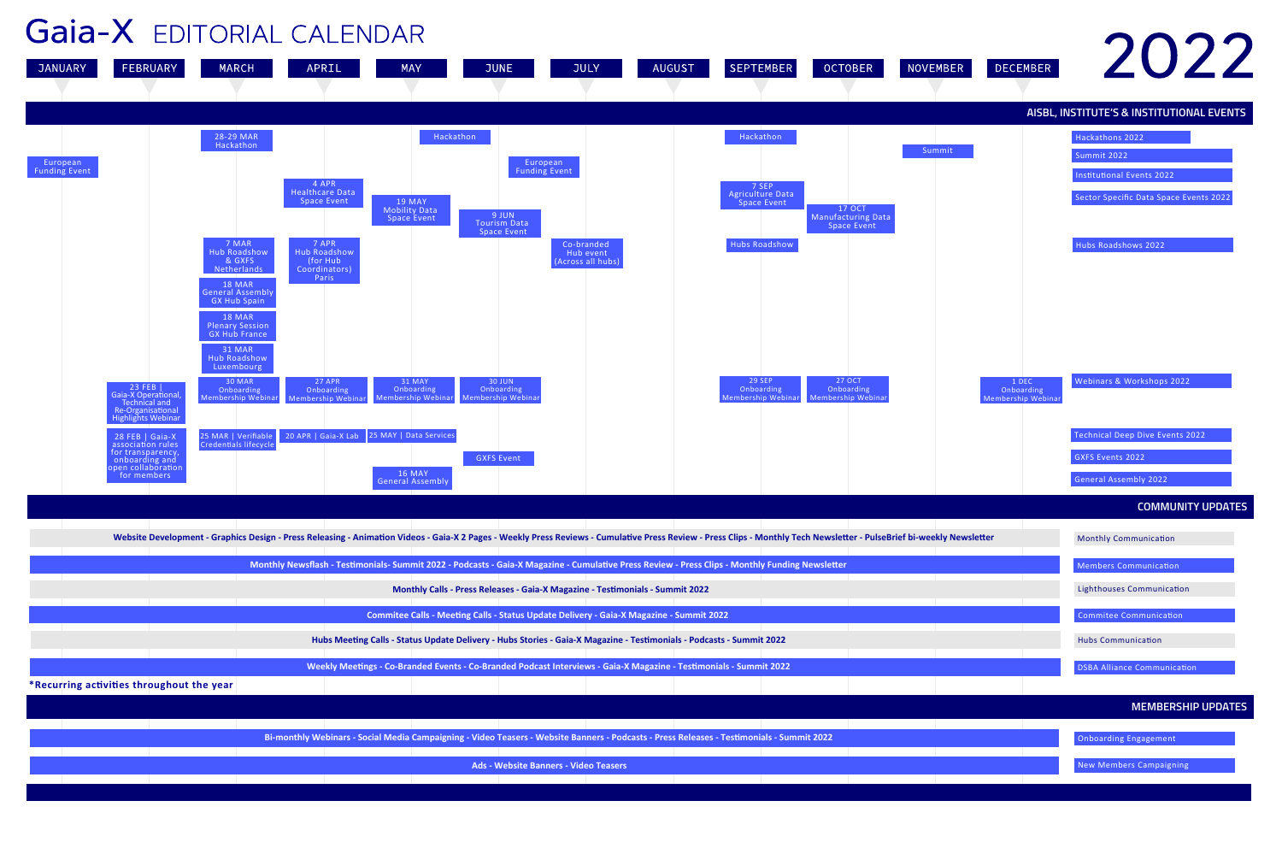### **AISBL, INSTITUTE'S & INSTITUTIONAL EVENTS**

Hackathons 2022

**COMMUNITY UPDATES**

**MEMBERSHIP UPDATES**

Sector Specific Data Space Events 2022

Summit 2022

Institutional Events 2022

Webinars & Workshops 2022

Hubs Roadshows 2022

Membership Webinar



![](_page_0_Figure_1.jpeg)

|                         | <b>Website Development - Graphics Design - Press Rele</b>                                                                           |                |
|-------------------------|-------------------------------------------------------------------------------------------------------------------------------------|----------------|
|                         |                                                                                                                                     |                |
| <b>Monthly Newsflas</b> |                                                                                                                                     |                |
|                         |                                                                                                                                     |                |
|                         |                                                                                                                                     |                |
|                         |                                                                                                                                     |                |
|                         |                                                                                                                                     |                |
| Hu                      |                                                                                                                                     |                |
|                         |                                                                                                                                     |                |
| Wed                     |                                                                                                                                     |                |
|                         | $\mathbf{F}$ and $\mathbf{F}$ and $\mathbf{F}$ and $\mathbf{F}$ are $\mathbf{F}$ and $\mathbf{F}$ and $\mathbf{F}$ and $\mathbf{F}$ | x <sub>n</sub> |

| Bi-monthly We |  |  |
|---------------|--|--|
|               |  |  |
|               |  |  |
|               |  |  |
|               |  |  |

**Ads - Website Banners - Video Teasers New Members Campaigning** New Members Campaigning

- 
- 
- 
- 
- 

![](_page_0_Picture_19.jpeg)

![](_page_0_Picture_20.jpeg)